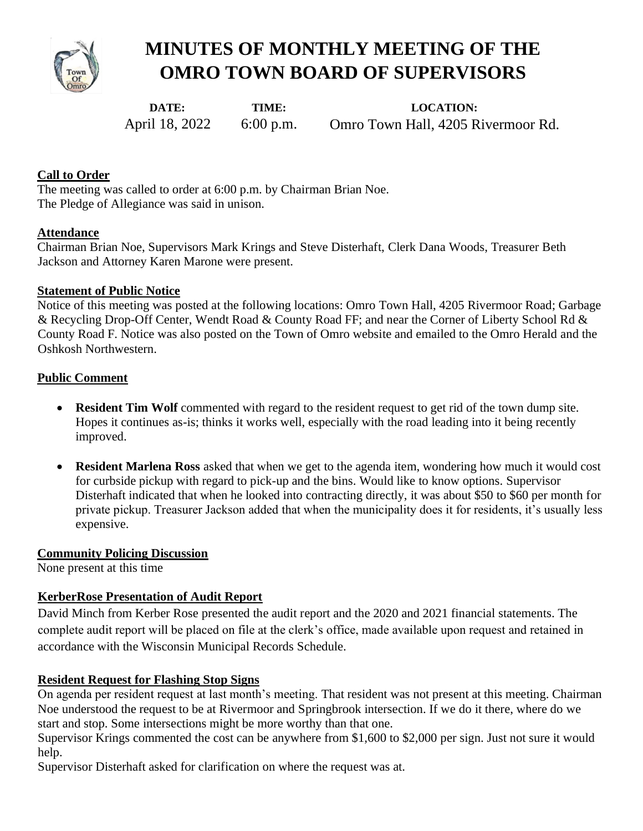

# **MINUTES OF MONTHLY MEETING OF THE OMRO TOWN BOARD OF SUPERVISORS**

**DATE:**  April 18, 2022

**TIME:**  6:00 p.m.

**LOCATION:**  Omro Town Hall, 4205 Rivermoor Rd.

## **Call to Order**

The meeting was called to order at 6:00 p.m. by Chairman Brian Noe. The Pledge of Allegiance was said in unison.

#### **Attendance**

Chairman Brian Noe, Supervisors Mark Krings and Steve Disterhaft, Clerk Dana Woods, Treasurer Beth Jackson and Attorney Karen Marone were present.

## **Statement of Public Notice**

Notice of this meeting was posted at the following locations: Omro Town Hall, 4205 Rivermoor Road; Garbage & Recycling Drop-Off Center, Wendt Road & County Road FF; and near the Corner of Liberty School Rd & County Road F. Notice was also posted on the Town of Omro website and emailed to the Omro Herald and the Oshkosh Northwestern.

## **Public Comment**

- **Resident Tim Wolf** commented with regard to the resident request to get rid of the town dump site. Hopes it continues as-is; thinks it works well, especially with the road leading into it being recently improved.
- **Resident Marlena Ross** asked that when we get to the agenda item, wondering how much it would cost for curbside pickup with regard to pick-up and the bins. Would like to know options. Supervisor Disterhaft indicated that when he looked into contracting directly, it was about \$50 to \$60 per month for private pickup. Treasurer Jackson added that when the municipality does it for residents, it's usually less expensive.

#### **Community Policing Discussion**

None present at this time

## **KerberRose Presentation of Audit Report**

David Minch from Kerber Rose presented the audit report and the 2020 and 2021 financial statements. The complete audit report will be placed on file at the clerk's office, made available upon request and retained in accordance with the Wisconsin Municipal Records Schedule.

## **Resident Request for Flashing Stop Signs**

On agenda per resident request at last month's meeting. That resident was not present at this meeting. Chairman Noe understood the request to be at Rivermoor and Springbrook intersection. If we do it there, where do we start and stop. Some intersections might be more worthy than that one.

Supervisor Krings commented the cost can be anywhere from \$1,600 to \$2,000 per sign. Just not sure it would help.

Supervisor Disterhaft asked for clarification on where the request was at.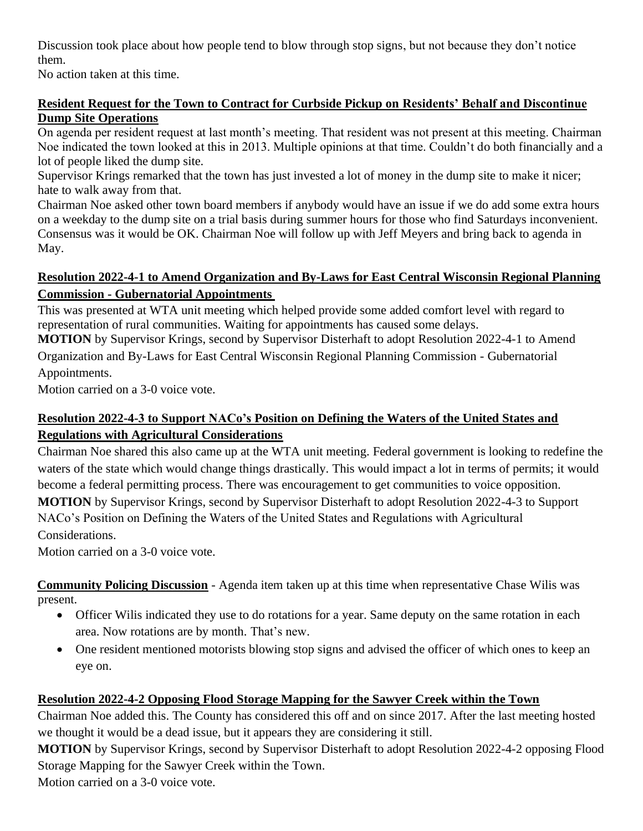Discussion took place about how people tend to blow through stop signs, but not because they don't notice them.

No action taken at this time.

## **Resident Request for the Town to Contract for Curbside Pickup on Residents' Behalf and Discontinue Dump Site Operations**

On agenda per resident request at last month's meeting. That resident was not present at this meeting. Chairman Noe indicated the town looked at this in 2013. Multiple opinions at that time. Couldn't do both financially and a lot of people liked the dump site.

Supervisor Krings remarked that the town has just invested a lot of money in the dump site to make it nicer; hate to walk away from that.

Chairman Noe asked other town board members if anybody would have an issue if we do add some extra hours on a weekday to the dump site on a trial basis during summer hours for those who find Saturdays inconvenient. Consensus was it would be OK. Chairman Noe will follow up with Jeff Meyers and bring back to agenda in May.

# **Resolution 2022-4-1 to Amend Organization and By-Laws for East Central Wisconsin Regional Planning Commission - Gubernatorial Appointments**

This was presented at WTA unit meeting which helped provide some added comfort level with regard to representation of rural communities. Waiting for appointments has caused some delays.

**MOTION** by Supervisor Krings, second by Supervisor Disterhaft to adopt Resolution 2022-4-1 to Amend Organization and By-Laws for East Central Wisconsin Regional Planning Commission - Gubernatorial Appointments.

Motion carried on a 3-0 voice vote.

# **Resolution 2022-4-3 to Support NACo's Position on Defining the Waters of the United States and Regulations with Agricultural Considerations**

Chairman Noe shared this also came up at the WTA unit meeting. Federal government is looking to redefine the waters of the state which would change things drastically. This would impact a lot in terms of permits; it would become a federal permitting process. There was encouragement to get communities to voice opposition. **MOTION** by Supervisor Krings, second by Supervisor Disterhaft to adopt Resolution 2022-4-3 to Support NACo's Position on Defining the Waters of the United States and Regulations with Agricultural Considerations.

Motion carried on a 3-0 voice vote.

**Community Policing Discussion** - Agenda item taken up at this time when representative Chase Wilis was present.

- Officer Wilis indicated they use to do rotations for a year. Same deputy on the same rotation in each area. Now rotations are by month. That's new.
- One resident mentioned motorists blowing stop signs and advised the officer of which ones to keep an eye on.

# **Resolution 2022-4-2 Opposing Flood Storage Mapping for the Sawyer Creek within the Town**

Chairman Noe added this. The County has considered this off and on since 2017. After the last meeting hosted we thought it would be a dead issue, but it appears they are considering it still.

**MOTION** by Supervisor Krings, second by Supervisor Disterhaft to adopt Resolution 2022-4-2 opposing Flood Storage Mapping for the Sawyer Creek within the Town.

Motion carried on a 3-0 voice vote.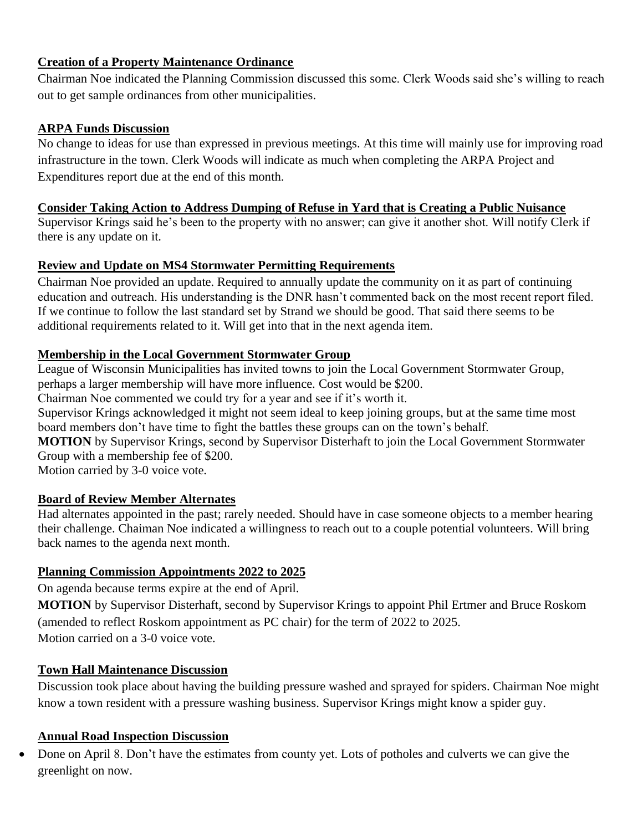## **Creation of a Property Maintenance Ordinance**

Chairman Noe indicated the Planning Commission discussed this some. Clerk Woods said she's willing to reach out to get sample ordinances from other municipalities.

#### **ARPA Funds Discussion**

No change to ideas for use than expressed in previous meetings. At this time will mainly use for improving road infrastructure in the town. Clerk Woods will indicate as much when completing the ARPA Project and Expenditures report due at the end of this month.

## **Consider Taking Action to Address Dumping of Refuse in Yard that is Creating a Public Nuisance**

Supervisor Krings said he's been to the property with no answer; can give it another shot. Will notify Clerk if there is any update on it.

## **Review and Update on MS4 Stormwater Permitting Requirements**

Chairman Noe provided an update. Required to annually update the community on it as part of continuing education and outreach. His understanding is the DNR hasn't commented back on the most recent report filed. If we continue to follow the last standard set by Strand we should be good. That said there seems to be additional requirements related to it. Will get into that in the next agenda item.

## **Membership in the Local Government Stormwater Group**

League of Wisconsin Municipalities has invited towns to join the Local Government Stormwater Group, perhaps a larger membership will have more influence. Cost would be \$200.

Chairman Noe commented we could try for a year and see if it's worth it.

Supervisor Krings acknowledged it might not seem ideal to keep joining groups, but at the same time most board members don't have time to fight the battles these groups can on the town's behalf.

**MOTION** by Supervisor Krings, second by Supervisor Disterhaft to join the Local Government Stormwater Group with a membership fee of \$200.

Motion carried by 3-0 voice vote.

## **Board of Review Member Alternates**

Had alternates appointed in the past; rarely needed. Should have in case someone objects to a member hearing their challenge. Chaiman Noe indicated a willingness to reach out to a couple potential volunteers. Will bring back names to the agenda next month.

## **Planning Commission Appointments 2022 to 2025**

On agenda because terms expire at the end of April.

**MOTION** by Supervisor Disterhaft, second by Supervisor Krings to appoint Phil Ertmer and Bruce Roskom (amended to reflect Roskom appointment as PC chair) for the term of 2022 to 2025. Motion carried on a 3-0 voice vote.

## **Town Hall Maintenance Discussion**

Discussion took place about having the building pressure washed and sprayed for spiders. Chairman Noe might know a town resident with a pressure washing business. Supervisor Krings might know a spider guy.

#### **Annual Road Inspection Discussion**

• Done on April 8. Don't have the estimates from county yet. Lots of potholes and culverts we can give the greenlight on now.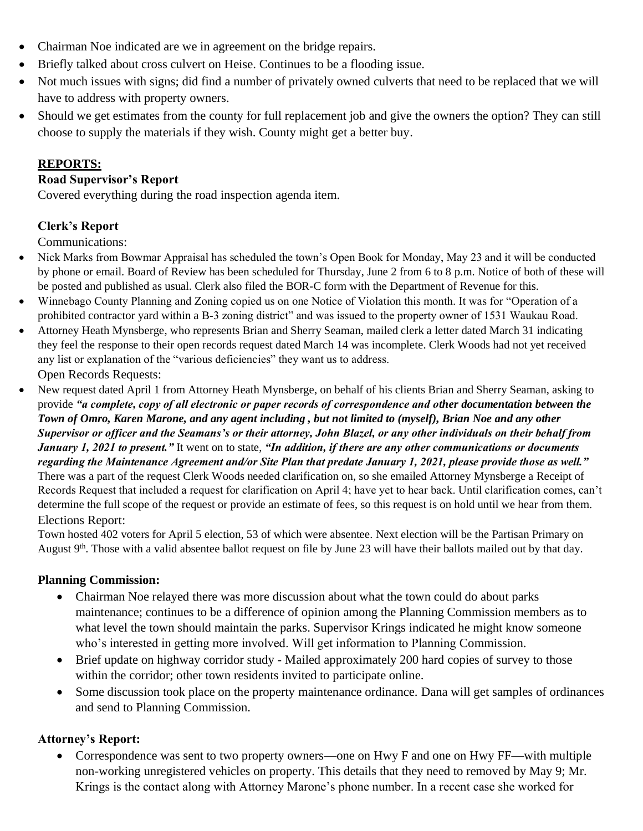- Chairman Noe indicated are we in agreement on the bridge repairs.
- Briefly talked about cross culvert on Heise. Continues to be a flooding issue.
- Not much issues with signs; did find a number of privately owned culverts that need to be replaced that we will have to address with property owners.
- Should we get estimates from the county for full replacement job and give the owners the option? They can still choose to supply the materials if they wish. County might get a better buy.

## **REPORTS:**

#### **Road Supervisor's Report**

Covered everything during the road inspection agenda item.

## **Clerk's Report**

Communications:

- Nick Marks from Bowmar Appraisal has scheduled the town's Open Book for Monday, May 23 and it will be conducted by phone or email. Board of Review has been scheduled for Thursday, June 2 from 6 to 8 p.m. Notice of both of these will be posted and published as usual. Clerk also filed the BOR-C form with the Department of Revenue for this.
- Winnebago County Planning and Zoning copied us on one Notice of Violation this month. It was for "Operation of a prohibited contractor yard within a B-3 zoning district" and was issued to the property owner of 1531 Waukau Road.
- Attorney Heath Mynsberge, who represents Brian and Sherry Seaman, mailed clerk a letter dated March 31 indicating they feel the response to their open records request dated March 14 was incomplete. Clerk Woods had not yet received any list or explanation of the "various deficiencies" they want us to address. Open Records Requests:
- New request dated April 1 from Attorney Heath Mynsberge, on behalf of his clients Brian and Sherry Seaman, asking to provide *"a complete, copy of all electronic or paper records of correspondence and other documentation between the Town of Omro, Karen Marone, and any agent including , but not limited to (myself), Brian Noe and any other Supervisor or officer and the Seamans's or their attorney, John Blazel, or any other individuals on their behalf from January 1, 2021 to present."* It went on to state, *"In addition, if there are any other communications or documents regarding the Maintenance Agreement and/or Site Plan that predate January 1, 2021, please provide those as well."* There was a part of the request Clerk Woods needed clarification on, so she emailed Attorney Mynsberge a Receipt of Records Request that included a request for clarification on April 4; have yet to hear back. Until clarification comes, can't determine the full scope of the request or provide an estimate of fees, so this request is on hold until we hear from them. Elections Report:

Town hosted 402 voters for April 5 election, 53 of which were absentee. Next election will be the Partisan Primary on August 9<sup>th</sup>. Those with a valid absentee ballot request on file by June 23 will have their ballots mailed out by that day.

## **Planning Commission:**

- Chairman Noe relayed there was more discussion about what the town could do about parks maintenance; continues to be a difference of opinion among the Planning Commission members as to what level the town should maintain the parks. Supervisor Krings indicated he might know someone who's interested in getting more involved. Will get information to Planning Commission.
- Brief update on highway corridor study Mailed approximately 200 hard copies of survey to those within the corridor; other town residents invited to participate online.
- Some discussion took place on the property maintenance ordinance. Dana will get samples of ordinances and send to Planning Commission.

## **Attorney's Report:**

• Correspondence was sent to two property owners—one on Hwy F and one on Hwy FF—with multiple non-working unregistered vehicles on property. This details that they need to removed by May 9; Mr. Krings is the contact along with Attorney Marone's phone number. In a recent case she worked for